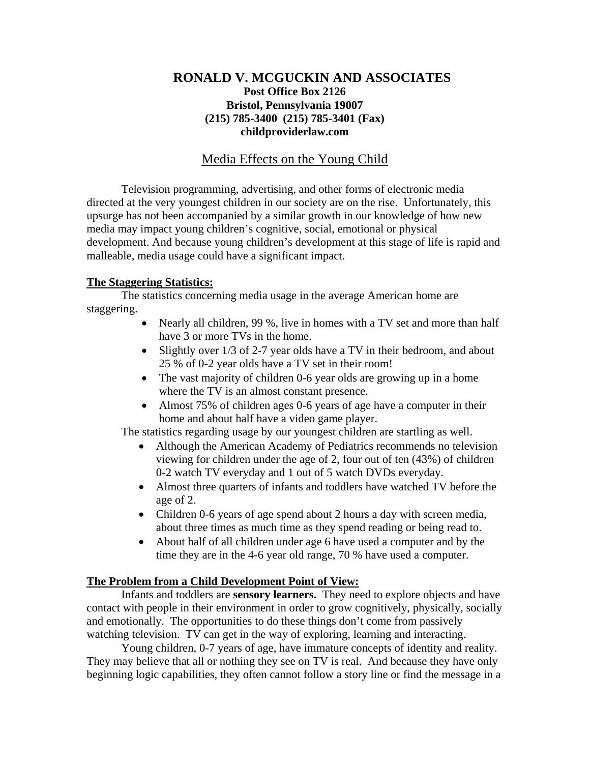# **RONALD V. MCGUCKIN AND ASSOCIATES Post Office Box 2126 Bristol, Pennsylvania 19007 (215) 785-3400 (215) 785-3401 (Fax) childproviderlaw.com**

# Media Effects on the Young Child

 Television programming, advertising, and other forms of electronic media directed at the very youngest children in our society are on the rise. Unfortunately, this upsurge has not been accompanied by a similar growth in our knowledge of how new media may impact young children's cognitive, social, emotional or physical development. And because young children's development at this stage of life is rapid and malleable, media usage could have a significant impact.

## **The Staggering Statistics:**

The statistics concerning media usage in the average American home are staggering.

- Nearly all children, 99 %, live in homes with a TV set and more than half have 3 or more TVs in the home.
- Slightly over 1/3 of 2-7 year olds have a TV in their bedroom, and about 25 % of 0-2 year olds have a TV set in their room!
- The vast majority of children 0-6 year olds are growing up in a home where the TV is an almost constant presence.
- Almost 75% of children ages 0-6 years of age have a computer in their home and about half have a video game player.

The statistics regarding usage by our youngest children are startling as well.

- Although the American Academy of Pediatrics recommends no television viewing for children under the age of 2, four out of ten (43%) of children 0-2 watch TV everyday and 1 out of 5 watch DVDs everyday.
- Almost three quarters of infants and toddlers have watched TV before the age of 2.
- Children 0-6 years of age spend about 2 hours a day with screen media, about three times as much time as they spend reading or being read to.
- About half of all children under age 6 have used a computer and by the time they are in the 4-6 year old range, 70 % have used a computer.

## **The Problem from a Child Development Point of View:**

Infants and toddlers are **sensory learners.** They need to explore objects and have contact with people in their environment in order to grow cognitively, physically, socially and emotionally. The opportunities to do these things don't come from passively watching television. TV can get in the way of exploring, learning and interacting.

 Young children, 0-7 years of age, have immature concepts of identity and reality. They may believe that all or nothing they see on TV is real. And because they have only beginning logic capabilities, they often cannot follow a story line or find the message in a